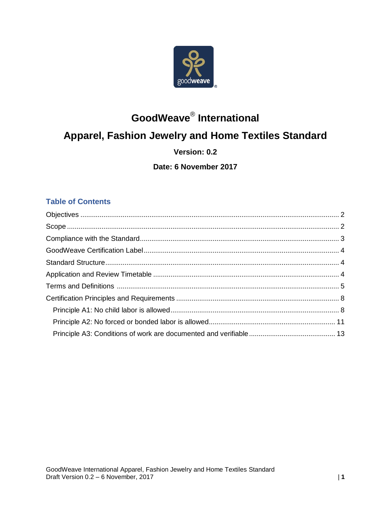

# **GoodWeave**® **International Apparel, Fashion Jewelry and Home Textiles Standard Version: 0.2**

## **Date: 6 November 2017**

## **Table of Contents**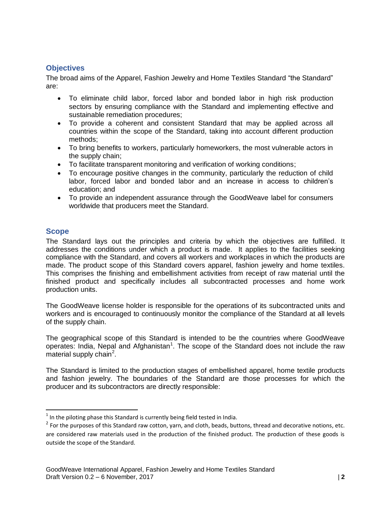## <span id="page-1-0"></span>**Objectives**

The broad aims of the Apparel, Fashion Jewelry and Home Textiles Standard "the Standard" are:

- To eliminate child labor, forced labor and bonded labor in high risk production sectors by ensuring compliance with the Standard and implementing effective and sustainable remediation procedures;
- To provide a coherent and consistent Standard that may be applied across all countries within the scope of the Standard, taking into account different production methods;
- To bring benefits to workers, particularly homeworkers, the most vulnerable actors in the supply chain;
- To facilitate transparent monitoring and verification of working conditions;
- To encourage positive changes in the community, particularly the reduction of child labor, forced labor and bonded labor and an increase in access to children's education; and
- To provide an independent assurance through the GoodWeave label for consumers worldwide that producers meet the Standard.

## <span id="page-1-1"></span>**Scope**

The Standard lays out the principles and criteria by which the objectives are fulfilled. It addresses the conditions under which a product is made. It applies to the facilities seeking compliance with the Standard, and covers all workers and workplaces in which the products are made. The product scope of this Standard covers apparel, fashion jewelry and home textiles. This comprises the finishing and embellishment activities from receipt of raw material until the finished product and specifically includes all subcontracted processes and home work production units.

The GoodWeave license holder is responsible for the operations of its subcontracted units and workers and is encouraged to continuously monitor the compliance of the Standard at all levels of the supply chain.

The geographical scope of this Standard is intended to be the countries where GoodWeave operates: India, Nepal and Afghanistan<sup>1</sup>. The scope of the Standard does not include the raw material supply chain<sup>2</sup>.

The Standard is limited to the production stages of embellished apparel, home textile products and fashion jewelry. The boundaries of the Standard are those processes for which the producer and its subcontractors are directly responsible:

 $\overline{a}$  $<sup>1</sup>$  In the piloting phase this Standard is currently being field tested in India.</sup>

 $^2$  For the purposes of this Standard raw cotton, yarn, and cloth, beads, buttons, thread and decorative notions, etc. are considered raw materials used in the production of the finished product. The production of these goods is outside the scope of the Standard.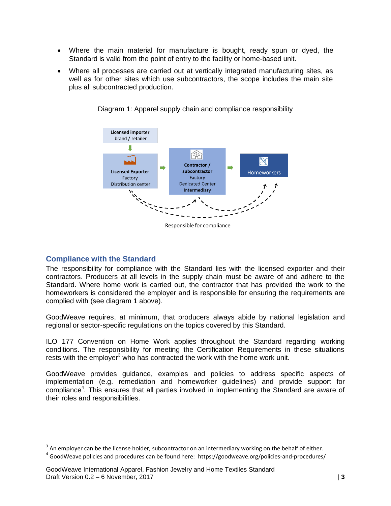- Where the main material for manufacture is bought, ready spun or dyed, the Standard is valid from the point of entry to the facility or home-based unit.
- Where all processes are carried out at vertically integrated manufacturing sites, as well as for other sites which use subcontractors, the scope includes the main site plus all subcontracted production.



Diagram 1: Apparel supply chain and compliance responsibility

Responsible for compliance

#### <span id="page-2-0"></span>**Compliance with the Standard**

 $\overline{a}$ 

The responsibility for compliance with the Standard lies with the licensed exporter and their contractors. Producers at all levels in the supply chain must be aware of and adhere to the Standard. Where home work is carried out, the contractor that has provided the work to the homeworkers is considered the employer and is responsible for ensuring the requirements are complied with (see diagram 1 above).

GoodWeave requires, at minimum, that producers always abide by national legislation and regional or sector-specific regulations on the topics covered by this Standard.

ILO 177 Convention on Home Work applies throughout the Standard regarding working conditions. The responsibility for meeting the Certification Requirements in these situations rests with the employer<sup>3</sup> who has contracted the work with the home work unit.

GoodWeave provides guidance, examples and policies to address specific aspects of implementation (e.g. remediation and homeworker guidelines) and provide support for compliance<sup>4</sup>. This ensures that all parties involved in implementing the Standard are aware of their roles and responsibilities.

 $3$  An employer can be the license holder, subcontractor on an intermediary working on the behalf of either.

<sup>&</sup>lt;sup>4</sup> GoodWeave policies and procedures can be found here: https://goodweave.org/policies-and-procedures/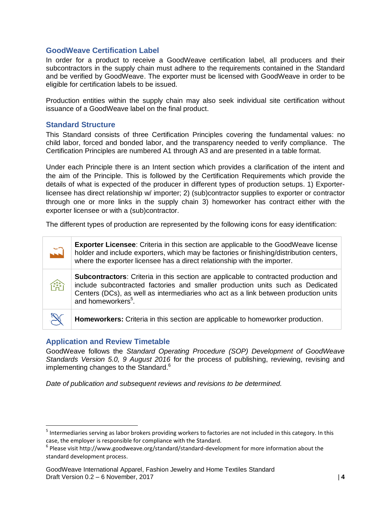#### <span id="page-3-0"></span>**GoodWeave Certification Label**

In order for a product to receive a GoodWeave certification label, all producers and their subcontractors in the supply chain must adhere to the requirements contained in the Standard and be verified by GoodWeave. The exporter must be licensed with GoodWeave in order to be eligible for certification labels to be issued.

Production entities within the supply chain may also seek individual site certification without issuance of a GoodWeave label on the final product.

#### <span id="page-3-1"></span>**Standard Structure**

This Standard consists of three Certification Principles covering the fundamental values: no child labor, forced and bonded labor, and the transparency needed to verify compliance. The Certification Principles are numbered A1 through A3 and are presented in a table format.

Under each Principle there is an Intent section which provides a clarification of the intent and the aim of the Principle. This is followed by the Certification Requirements which provide the details of what is expected of the producer in different types of production setups. 1) Exporterlicensee has direct relationship w/ importer; 2) (sub)contractor supplies to exporter or contractor through one or more links in the supply chain 3) homeworker has contract either with the exporter licensee or with a (sub)contractor.

The different types of production are represented by the following icons for easy identification:

| $\tilde{L}$ | <b>Exporter Licensee:</b> Criteria in this section are applicable to the GoodWeave license<br>holder and include exporters, which may be factories or finishing/distribution centers,<br>where the exporter licensee has a direct relationship with the importer.                                      |
|-------------|--------------------------------------------------------------------------------------------------------------------------------------------------------------------------------------------------------------------------------------------------------------------------------------------------------|
| 儒言          | <b>Subcontractors:</b> Criteria in this section are applicable to contracted production and<br>include subcontracted factories and smaller production units such as Dedicated<br>Centers (DCs), as well as intermediaries who act as a link between production units<br>and homeworkers <sup>5</sup> . |
|             | Homeworkers: Criteria in this section are applicable to homeworker production.                                                                                                                                                                                                                         |

#### <span id="page-3-2"></span>**Application and Review Timetable**

 $\overline{a}$ 

GoodWeave follows the *Standard Operating Procedure (SOP) Development of GoodWeave Standards Version 5.0, 9 August 2016* for the process of publishing, reviewing, revising and implementing changes to the Standard.<sup>6</sup>

*Date of publication and subsequent reviews and revisions to be determined.* 

<sup>&</sup>lt;sup>5</sup> Intermediaries serving as labor brokers providing workers to factories are not included in this category. In this case, the employer is responsible for compliance with the Standard.

 $^6$  Please visit http://www.goodweave.org/standard/standard-development for more information about the standard development process.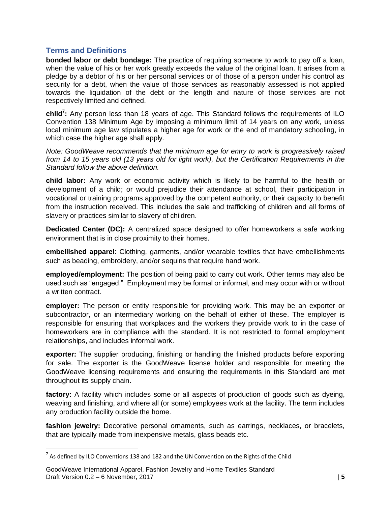#### <span id="page-4-0"></span>**Terms and Definitions**

**bonded labor or debt bondage:** The practice of requiring someone to work to pay off a loan, when the value of his or her work greatly exceeds the value of the original loan. It arises from a pledge by a debtor of his or her personal services or of those of a person under his control as security for a debt, when the value of those services as reasonably assessed is not applied towards the liquidation of the debt or the length and nature of those services are not respectively limited and defined.

**child<sup>7</sup> :** Any person less than 18 years of age. This Standard follows the requirements of ILO Convention 138 Minimum Age by imposing a minimum limit of 14 years on any work, unless local minimum age law stipulates a higher age for work or the end of mandatory schooling, in which case the higher age shall apply.

*Note: GoodWeave recommends that the minimum age for entry to work is progressively raised from 14 to 15 years old (13 years old for light work), but the Certification Requirements in the Standard follow the above definition.* 

**child labor:** Any work or economic activity which is likely to be harmful to the health or development of a child; or would prejudice their attendance at school, their participation in vocational or training programs approved by the competent authority, or their capacity to benefit from the instruction received. This includes the sale and trafficking of children and all forms of slavery or practices similar to slavery of children.

**Dedicated Center (DC):** A centralized space designed to offer homeworkers a safe working environment that is in close proximity to their homes.

**embellished apparel**: Clothing, garments, and/or wearable textiles that have embellishments such as beading, embroidery, and/or sequins that require hand work.

**employed/employment:** The position of being paid to carry out work. Other terms may also be used such as "engaged." Employment may be formal or informal, and may occur with or without a written contract.

**employer:** The person or entity responsible for providing work. This may be an exporter or subcontractor, or an intermediary working on the behalf of either of these. The employer is responsible for ensuring that workplaces and the workers they provide work to in the case of homeworkers are in compliance with the standard. It is not restricted to formal employment relationships, and includes informal work.

**exporter:** The supplier producing, finishing or handling the finished products before exporting for sale. The exporter is the GoodWeave license holder and responsible for meeting the GoodWeave licensing requirements and ensuring the requirements in this Standard are met throughout its supply chain.

**factory:** A facility which includes some or all aspects of production of goods such as dyeing, weaving and finishing, and where all (or some) employees work at the facility. The term includes any production facility outside the home.

**fashion jewelry:** Decorative personal ornaments, such as earrings, necklaces, or bracelets, that are typically made from inexpensive metals, glass beads etc.

l

 $^7$  As defined by ILO Conventions 138 and 182 and the UN Convention on the Rights of the Child

GoodWeave International Apparel, Fashion Jewelry and Home Textiles Standard Draft Version 0.2 – 6 November, 2017 | **5**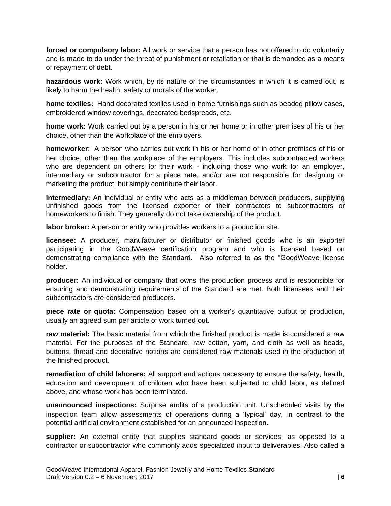**forced or compulsory labor:** All work or service that a person has not offered to do voluntarily and is made to do under the threat of punishment or retaliation or that is demanded as a means of repayment of debt.

**hazardous work:** Work which, by its nature or the circumstances in which it is carried out, is likely to harm the health, safety or morals of the worker.

**home textiles:** Hand decorated textiles used in home furnishings such as beaded pillow cases, embroidered window coverings, decorated bedspreads, etc.

**home work:** Work carried out by a person in his or her home or in other premises of his or her choice, other than the workplace of the employers.

**homeworker**: A person who carries out work in his or her home or in other premises of his or her choice, other than the workplace of the employers. This includes subcontracted workers who are dependent on others for their work - including those who work for an employer, intermediary or subcontractor for a piece rate, and/or are not responsible for designing or marketing the product, but simply contribute their labor.

**intermediary:** An individual or entity who acts as a middleman between producers, supplying unfinished goods from the licensed exporter or their contractors to subcontractors or homeworkers to finish. They generally do not take ownership of the product.

**labor broker:** A person or entity who provides workers to a production site.

**licensee:** A producer, manufacturer or distributor or finished goods who is an exporter participating in the GoodWeave certification program and who is licensed based on demonstrating compliance with the Standard. Also referred to as the "GoodWeave license holder."

**producer:** An individual or company that owns the production process and is responsible for ensuring and demonstrating requirements of the Standard are met. Both licensees and their subcontractors are considered producers.

**piece rate or quota:** Compensation based on a worker's quantitative output or production, usually an agreed sum per article of work turned out.

**raw material:** The basic material from which the finished product is made is considered a raw material. For the purposes of the Standard, raw cotton, yarn, and cloth as well as beads, buttons, thread and decorative notions are considered raw materials used in the production of the finished product.

**remediation of child laborers:** All support and actions necessary to ensure the safety, health, education and development of children who have been subjected to child labor, as defined above, and whose work has been terminated.

**unannounced inspections:** Surprise audits of a production unit. Unscheduled visits by the inspection team allow assessments of operations during a 'typical' day, in contrast to the potential artificial environment established for an announced inspection.

**supplier:** An external entity that supplies standard goods or services, as opposed to a contractor or subcontractor who commonly adds specialized input to deliverables. Also called a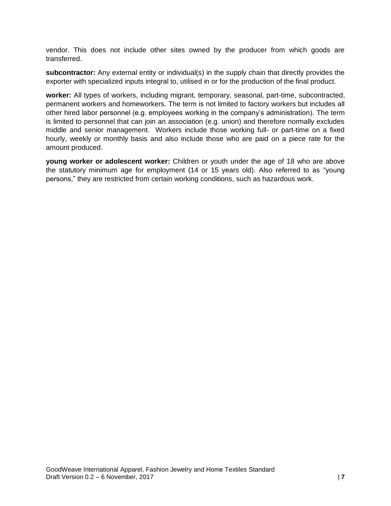vendor. This does not include other sites owned by the producer from which goods are transferred.

**subcontractor:** Any external entity or individual(s) in the supply chain that directly provides the exporter with specialized inputs integral to, utilised in or for the production of the final product.

**worker:** All types of workers, including migrant, temporary, seasonal, part-time, subcontracted, permanent workers and homeworkers. The term is not limited to factory workers but includes all other hired labor personnel (e.g. employees working in the company's administration). The term is limited to personnel that can join an association (e.g. union) and therefore normally excludes middle and senior management. Workers include those working full- or part-time on a fixed hourly, weekly or monthly basis and also include those who are paid on a piece rate for the amount produced.

**young worker or adolescent worker:** Children or youth under the age of 18 who are above the statutory minimum age for employment (14 or 15 years old). Also referred to as "young persons," they are restricted from certain working conditions, such as hazardous work.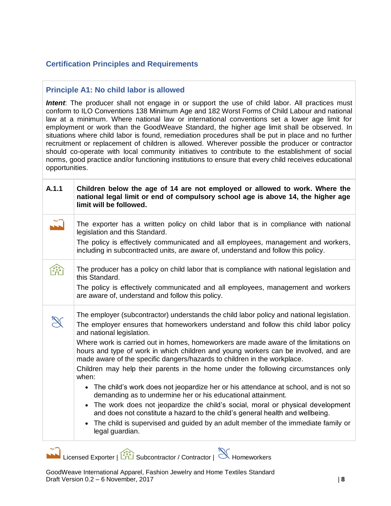#### <span id="page-7-0"></span>**Certification Principles and Requirements**

#### <span id="page-7-1"></span>**Principle A1: No child labor is allowed**

**Intent**: The producer shall not engage in or support the use of child labor. All practices must conform to ILO Conventions 138 Minimum Age and 182 Worst Forms of Child Labour and national law at a minimum. Where national law or international conventions set a lower age limit for employment or work than the GoodWeave Standard, the higher age limit shall be observed. In situations where child labor is found, remediation procedures shall be put in place and no further recruitment or replacement of children is allowed. Wherever possible the producer or contractor should co-operate with local community initiatives to contribute to the establishment of social norms, good practice and/or functioning institutions to ensure that every child receives educational opportunities.

| A.1.1 | Children below the age of 14 are not employed or allowed to work. Where the<br>national legal limit or end of compulsory school age is above 14, the higher age<br>limit will be followed.                                                                                                                                                                                                                                                                                                                                                                                                                                                                                                                                                                                                                                                                                                                                                                                                                 |
|-------|------------------------------------------------------------------------------------------------------------------------------------------------------------------------------------------------------------------------------------------------------------------------------------------------------------------------------------------------------------------------------------------------------------------------------------------------------------------------------------------------------------------------------------------------------------------------------------------------------------------------------------------------------------------------------------------------------------------------------------------------------------------------------------------------------------------------------------------------------------------------------------------------------------------------------------------------------------------------------------------------------------|
|       | The exporter has a written policy on child labor that is in compliance with national<br>legislation and this Standard.<br>The policy is effectively communicated and all employees, management and workers,<br>including in subcontracted units, are aware of, understand and follow this policy.                                                                                                                                                                                                                                                                                                                                                                                                                                                                                                                                                                                                                                                                                                          |
|       | The producer has a policy on child labor that is compliance with national legislation and<br>this Standard.<br>The policy is effectively communicated and all employees, management and workers<br>are aware of, understand and follow this policy.                                                                                                                                                                                                                                                                                                                                                                                                                                                                                                                                                                                                                                                                                                                                                        |
|       | The employer (subcontractor) understands the child labor policy and national legislation.<br>The employer ensures that homeworkers understand and follow this child labor policy<br>and national legislation.<br>Where work is carried out in homes, homeworkers are made aware of the limitations on<br>hours and type of work in which children and young workers can be involved, and are<br>made aware of the specific dangers/hazards to children in the workplace.<br>Children may help their parents in the home under the following circumstances only<br>when:<br>• The child's work does not jeopardize her or his attendance at school, and is not so<br>demanding as to undermine her or his educational attainment.<br>The work does not jeopardize the child's social, moral or physical development<br>and does not constitute a hazard to the child's general health and wellbeing.<br>The child is supervised and guided by an adult member of the immediate family or<br>legal guardian. |

Licensed Exporter | Subcontractor / Contractor | Homeworkers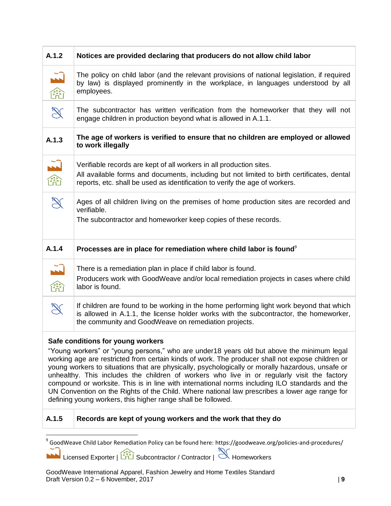| A.1.2                                                                                                                                                                                                                                                                                                                                               | Notices are provided declaring that producers do not allow child labor                                                                                                                                                                                                                                                                                                                                                                                                                                                                                                                                                                                                                                   |
|-----------------------------------------------------------------------------------------------------------------------------------------------------------------------------------------------------------------------------------------------------------------------------------------------------------------------------------------------------|----------------------------------------------------------------------------------------------------------------------------------------------------------------------------------------------------------------------------------------------------------------------------------------------------------------------------------------------------------------------------------------------------------------------------------------------------------------------------------------------------------------------------------------------------------------------------------------------------------------------------------------------------------------------------------------------------------|
| $\begin{picture}(120,110) \put(0,0){\line(1,0){10}} \put(15,0){\line(1,0){10}} \put(15,0){\line(1,0){10}} \put(15,0){\line(1,0){10}} \put(15,0){\line(1,0){10}} \put(15,0){\line(1,0){10}} \put(15,0){\line(1,0){10}} \put(15,0){\line(1,0){10}} \put(15,0){\line(1,0){10}} \put(15,0){\line(1,0){10}} \put(15,0){\line(1,0){10}} \put(15,0){\line$ | The policy on child labor (and the relevant provisions of national legislation, if required<br>by law) is displayed prominently in the workplace, in languages understood by all<br>employees.                                                                                                                                                                                                                                                                                                                                                                                                                                                                                                           |
| $\mathscr{L}$                                                                                                                                                                                                                                                                                                                                       | The subcontractor has written verification from the homeworker that they will not<br>engage children in production beyond what is allowed in A.1.1.                                                                                                                                                                                                                                                                                                                                                                                                                                                                                                                                                      |
| A.1.3                                                                                                                                                                                                                                                                                                                                               | The age of workers is verified to ensure that no children are employed or allowed<br>to work illegally                                                                                                                                                                                                                                                                                                                                                                                                                                                                                                                                                                                                   |
| $\begin{picture}(180,10) \put(0,0){\line(1,0){10}} \put(10,0){\line(1,0){10}} \put(10,0){\line(1,0){10}} \put(10,0){\line(1,0){10}} \put(10,0){\line(1,0){10}} \put(10,0){\line(1,0){10}} \put(10,0){\line(1,0){10}} \put(10,0){\line(1,0){10}} \put(10,0){\line(1,0){10}} \put(10,0){\line(1,0){10}} \put(10,0){\line(1,0){10}} \put(10,0){\line($ | Verifiable records are kept of all workers in all production sites.<br>All available forms and documents, including but not limited to birth certificates, dental<br>reports, etc. shall be used as identification to verify the age of workers.                                                                                                                                                                                                                                                                                                                                                                                                                                                         |
| $\mathscr{L}$                                                                                                                                                                                                                                                                                                                                       | Ages of all children living on the premises of home production sites are recorded and<br>verifiable.<br>The subcontractor and homeworker keep copies of these records.                                                                                                                                                                                                                                                                                                                                                                                                                                                                                                                                   |
|                                                                                                                                                                                                                                                                                                                                                     |                                                                                                                                                                                                                                                                                                                                                                                                                                                                                                                                                                                                                                                                                                          |
| A.1.4                                                                                                                                                                                                                                                                                                                                               | Processes are in place for remediation where child labor is found <sup>9</sup>                                                                                                                                                                                                                                                                                                                                                                                                                                                                                                                                                                                                                           |
| $\begin{picture}(120,110) \put(0,0){\line(1,0){10}} \put(15,0){\line(1,0){10}} \put(15,0){\line(1,0){10}} \put(15,0){\line(1,0){10}} \put(15,0){\line(1,0){10}} \put(15,0){\line(1,0){10}} \put(15,0){\line(1,0){10}} \put(15,0){\line(1,0){10}} \put(15,0){\line(1,0){10}} \put(15,0){\line(1,0){10}} \put(15,0){\line(1,0){10}} \put(15,0){\line$ | There is a remediation plan in place if child labor is found.<br>Producers work with GoodWeave and/or local remediation projects in cases where child<br>labor is found.                                                                                                                                                                                                                                                                                                                                                                                                                                                                                                                                 |
| $\mathbb{Z}$                                                                                                                                                                                                                                                                                                                                        | If children are found to be working in the home performing light work beyond that which<br>is allowed in A.1.1, the license holder works with the subcontractor, the homeworker,<br>the community and GoodWeave on remediation projects.                                                                                                                                                                                                                                                                                                                                                                                                                                                                 |
|                                                                                                                                                                                                                                                                                                                                                     | Safe conditions for young workers<br>"Young workers" or "young persons," who are under18 years old but above the minimum legal<br>working age are restricted from certain kinds of work. The producer shall not expose children or<br>young workers to situations that are physically, psychologically or morally hazardous, unsafe or<br>unhealthy. This includes the children of workers who live in or regularly visit the factory<br>compound or worksite. This is in line with international norms including ILO standards and the<br>UN Convention on the Rights of the Child. Where national law prescribes a lower age range for<br>defining young workers, this higher range shall be followed. |

Licensed Exporter | Subcontractor / Contractor | Homeworkers

 9 GoodWeave Child Labor Remediation Policy can be found here: https://goodweave.org/policies-and-procedures/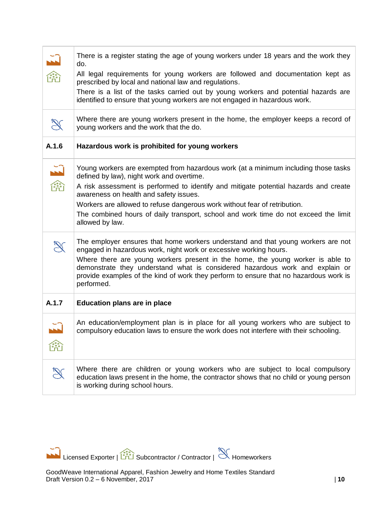|                                                                                                                                                                                                                                                                                                                                                     | There is a register stating the age of young workers under 18 years and the work they<br>do.                                                                                                                                                                          |
|-----------------------------------------------------------------------------------------------------------------------------------------------------------------------------------------------------------------------------------------------------------------------------------------------------------------------------------------------------|-----------------------------------------------------------------------------------------------------------------------------------------------------------------------------------------------------------------------------------------------------------------------|
| $\begin{picture}(180,170)(-4,17){\line(1,0){10}} \put(10,17){\line(1,0){10}} \put(10,17){\line(1,0){10}} \put(10,17){\line(1,0){10}} \put(10,17){\line(1,0){10}} \put(10,17){\line(1,0){10}} \put(10,17){\line(1,0){10}} \put(10,17){\line(1,0){10}} \put(10,17){\line(1,0){10}} \put(10,17){\line(1,0){10}} \put(10,17){\line(1,0){10}} \$         | All legal requirements for young workers are followed and documentation kept as<br>prescribed by local and national law and regulations.                                                                                                                              |
|                                                                                                                                                                                                                                                                                                                                                     | There is a list of the tasks carried out by young workers and potential hazards are<br>identified to ensure that young workers are not engaged in hazardous work.                                                                                                     |
| $\mathbb{R}$                                                                                                                                                                                                                                                                                                                                        | Where there are young workers present in the home, the employer keeps a record of<br>young workers and the work that the do.                                                                                                                                          |
| A.1.6                                                                                                                                                                                                                                                                                                                                               | Hazardous work is prohibited for young workers                                                                                                                                                                                                                        |
| $\begin{picture}(120,110) \put(0,0){\line(1,0){10}} \put(15,0){\line(1,0){10}} \put(15,0){\line(1,0){10}} \put(15,0){\line(1,0){10}} \put(15,0){\line(1,0){10}} \put(15,0){\line(1,0){10}} \put(15,0){\line(1,0){10}} \put(15,0){\line(1,0){10}} \put(15,0){\line(1,0){10}} \put(15,0){\line(1,0){10}} \put(15,0){\line(1,0){10}} \put(15,0){\line$ | Young workers are exempted from hazardous work (at a minimum including those tasks<br>defined by law), night work and overtime.                                                                                                                                       |
|                                                                                                                                                                                                                                                                                                                                                     | A risk assessment is performed to identify and mitigate potential hazards and create<br>awareness on health and safety issues.                                                                                                                                        |
|                                                                                                                                                                                                                                                                                                                                                     | Workers are allowed to refuse dangerous work without fear of retribution.                                                                                                                                                                                             |
|                                                                                                                                                                                                                                                                                                                                                     | The combined hours of daily transport, school and work time do not exceed the limit<br>allowed by law.                                                                                                                                                                |
|                                                                                                                                                                                                                                                                                                                                                     | The employer ensures that home workers understand and that young workers are not<br>engaged in hazardous work, night work or excessive working hours.                                                                                                                 |
|                                                                                                                                                                                                                                                                                                                                                     | Where there are young workers present in the home, the young worker is able to<br>demonstrate they understand what is considered hazardous work and explain or<br>provide examples of the kind of work they perform to ensure that no hazardous work is<br>performed. |
| A.1.7                                                                                                                                                                                                                                                                                                                                               | <b>Education plans are in place</b>                                                                                                                                                                                                                                   |
|                                                                                                                                                                                                                                                                                                                                                     | An education/employment plan is in place for all young workers who are subject to<br>compulsory education laws to ensure the work does not interfere with their schooling.                                                                                            |
|                                                                                                                                                                                                                                                                                                                                                     |                                                                                                                                                                                                                                                                       |
| $\mathbb{R}$                                                                                                                                                                                                                                                                                                                                        | Where there are children or young workers who are subject to local compulsory<br>education laws present in the home, the contractor shows that no child or young person<br>is working during school hours.                                                            |

Licensed Exporter | Subcontractor / Contractor | Homeworkers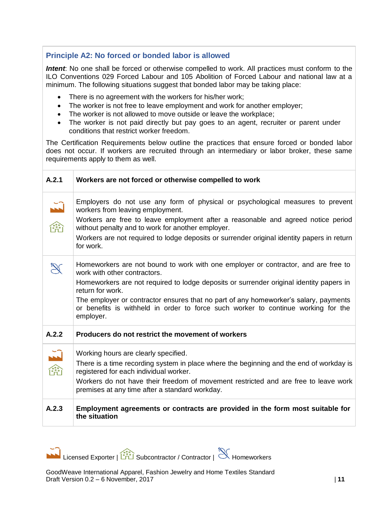## <span id="page-10-0"></span>**Principle A2: No forced or bonded labor is allowed**

*Intent*: No one shall be forced or otherwise compelled to work. All practices must conform to the ILO Conventions 029 Forced Labour and 105 Abolition of Forced Labour and national law at a minimum. The following situations suggest that bonded labor may be taking place:

- There is no agreement with the workers for his/her work;
- The worker is not free to leave employment and work for another employer;
- The worker is not allowed to move outside or leave the workplace;
- The worker is not paid directly but pay goes to an agent, recruiter or parent under conditions that restrict worker freedom.

The Certification Requirements below outline the practices that ensure forced or bonded labor does not occur. If workers are recruited through an intermediary or labor broker, these same requirements apply to them as well.

| A.2.1                                                                                                                                                                                                                                                                                                                                             | Workers are not forced or otherwise compelled to work                                                                                                                                                                                                                                                                                                                                                                       |
|---------------------------------------------------------------------------------------------------------------------------------------------------------------------------------------------------------------------------------------------------------------------------------------------------------------------------------------------------|-----------------------------------------------------------------------------------------------------------------------------------------------------------------------------------------------------------------------------------------------------------------------------------------------------------------------------------------------------------------------------------------------------------------------------|
| $\begin{picture}(180,170)(-10,-10) \put(0,0){\line(1,0){10}} \put(10,0){\line(1,0){10}} \put(10,0){\line(1,0){10}} \put(10,0){\line(1,0){10}} \put(10,0){\line(1,0){10}} \put(10,0){\line(1,0){10}} \put(10,0){\line(1,0){10}} \put(10,0){\line(1,0){10}} \put(10,0){\line(1,0){10}} \put(10,0){\line(1,0){10}} \put(10,0){\line(1,0){10}} \put($ | Employers do not use any form of physical or psychological measures to prevent<br>workers from leaving employment.<br>Workers are free to leave employment after a reasonable and agreed notice period<br>without penalty and to work for another employer.<br>Workers are not required to lodge deposits or surrender original identity papers in return<br>for work.                                                      |
|                                                                                                                                                                                                                                                                                                                                                   | Homeworkers are not bound to work with one employer or contractor, and are free to<br>work with other contractors.<br>Homeworkers are not required to lodge deposits or surrender original identity papers in<br>return for work.<br>The employer or contractor ensures that no part of any homeworker's salary, payments<br>or benefits is withheld in order to force such worker to continue working for the<br>employer. |
| A.2.2                                                                                                                                                                                                                                                                                                                                             | Producers do not restrict the movement of workers                                                                                                                                                                                                                                                                                                                                                                           |
| $\begin{array}{c}\n\begin{array}{c}\n\stackrel{1}{\longrightarrow}\n\\ \n\stackrel{1}{\longrightarrow}\n\end{array}\n\end{array}$                                                                                                                                                                                                                 | Working hours are clearly specified.<br>There is a time recording system in place where the beginning and the end of workday is<br>registered for each individual worker.<br>Workers do not have their freedom of movement restricted and are free to leave work<br>premises at any time after a standard workday.                                                                                                          |
| A.2.3                                                                                                                                                                                                                                                                                                                                             | Employment agreements or contracts are provided in the form most suitable for<br>the situation                                                                                                                                                                                                                                                                                                                              |

Licensed Exporter |  $\frac{2\pi}{\ln 2}$  Subcontractor / Contractor |  $\mathbb{R}$  Homeworkers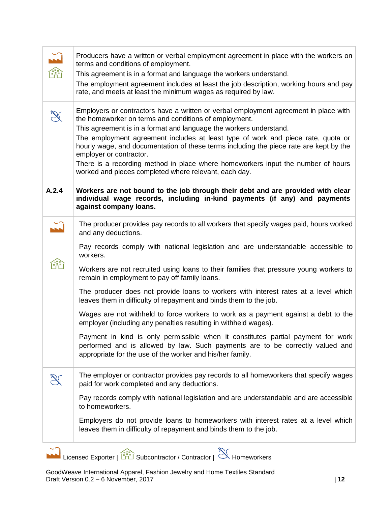| $\begin{picture}(180,170)(-4,10){\line(1,0){10}} \put(10,10){\line(1,0){10}} \put(10,10){\line(1,0){10}} \put(10,10){\line(1,0){10}} \put(10,10){\line(1,0){10}} \put(10,10){\line(1,0){10}} \put(10,10){\line(1,0){10}} \put(10,10){\line(1,0){10}} \put(10,10){\line(1,0){10}} \put(10,10){\line(1,0){10}} \put(10,10){\line(1,0){10}} \$ | Producers have a written or verbal employment agreement in place with the workers on<br>terms and conditions of employment.<br>This agreement is in a format and language the workers understand.<br>The employment agreement includes at least the job description, working hours and pay<br>rate, and meets at least the minimum wages as required by law.                                                                                                                                                                                                              |
|---------------------------------------------------------------------------------------------------------------------------------------------------------------------------------------------------------------------------------------------------------------------------------------------------------------------------------------------|---------------------------------------------------------------------------------------------------------------------------------------------------------------------------------------------------------------------------------------------------------------------------------------------------------------------------------------------------------------------------------------------------------------------------------------------------------------------------------------------------------------------------------------------------------------------------|
| $\mathbb{R}$                                                                                                                                                                                                                                                                                                                                | Employers or contractors have a written or verbal employment agreement in place with<br>the homeworker on terms and conditions of employment.<br>This agreement is in a format and language the workers understand.<br>The employment agreement includes at least type of work and piece rate, quota or<br>hourly wage, and documentation of these terms including the piece rate are kept by the<br>employer or contractor.<br>There is a recording method in place where homeworkers input the number of hours<br>worked and pieces completed where relevant, each day. |
| A.2.4                                                                                                                                                                                                                                                                                                                                       | Workers are not bound to the job through their debt and are provided with clear<br>individual wage records, including in-kind payments (if any) and payments<br>against company loans.                                                                                                                                                                                                                                                                                                                                                                                    |
| $\tilde{L}$                                                                                                                                                                                                                                                                                                                                 | The producer provides pay records to all workers that specify wages paid, hours worked<br>and any deductions.                                                                                                                                                                                                                                                                                                                                                                                                                                                             |
|                                                                                                                                                                                                                                                                                                                                             | Pay records comply with national legislation and are understandable accessible to<br>workers.                                                                                                                                                                                                                                                                                                                                                                                                                                                                             |
|                                                                                                                                                                                                                                                                                                                                             | Workers are not recruited using loans to their families that pressure young workers to<br>remain in employment to pay off family loans.                                                                                                                                                                                                                                                                                                                                                                                                                                   |
|                                                                                                                                                                                                                                                                                                                                             | The producer does not provide loans to workers with interest rates at a level which<br>leaves them in difficulty of repayment and binds them to the job.                                                                                                                                                                                                                                                                                                                                                                                                                  |
|                                                                                                                                                                                                                                                                                                                                             | Wages are not withheld to force workers to work as a payment against a debt to the<br>employer (including any penalties resulting in withheld wages).                                                                                                                                                                                                                                                                                                                                                                                                                     |
|                                                                                                                                                                                                                                                                                                                                             | Payment in kind is only permissible when it constitutes partial payment for work<br>performed and is allowed by law. Such payments are to be correctly valued and<br>appropriate for the use of the worker and his/her family.                                                                                                                                                                                                                                                                                                                                            |
| $\mathbb{R}$                                                                                                                                                                                                                                                                                                                                | The employer or contractor provides pay records to all homeworkers that specify wages<br>paid for work completed and any deductions.                                                                                                                                                                                                                                                                                                                                                                                                                                      |
|                                                                                                                                                                                                                                                                                                                                             | Pay records comply with national legislation and are understandable and are accessible<br>to homeworkers.                                                                                                                                                                                                                                                                                                                                                                                                                                                                 |
|                                                                                                                                                                                                                                                                                                                                             | Employers do not provide loans to homeworkers with interest rates at a level which<br>leaves them in difficulty of repayment and binds them to the job.                                                                                                                                                                                                                                                                                                                                                                                                                   |
|                                                                                                                                                                                                                                                                                                                                             | Eicensed Exporter   $\frac{1}{\sqrt{2}}$ Subcontractor / Contractor   $\leq$ Homeworkers                                                                                                                                                                                                                                                                                                                                                                                                                                                                                  |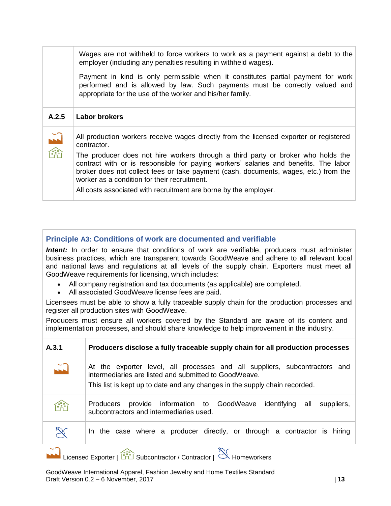Wages are not withheld to force workers to work as a payment against a debt to the employer (including any penalties resulting in withheld wages).

Payment in kind is only permissible when it constitutes partial payment for work performed and is allowed by law. Such payments must be correctly valued and appropriate for the use of the worker and his/her family.

#### **A.2.5 Labor brokers**



All production workers receive wages directly from the licensed exporter or registered contractor.

The producer does not hire workers through a third party or broker who holds the contract with or is responsible for paying workers' salaries and benefits. The labor broker does not collect fees or take payment (cash, documents, wages, etc.) from the worker as a condition for their recruitment.

All costs associated with recruitment are borne by the employer.

#### <span id="page-12-0"></span>**Principle A3: Conditions of work are documented and verifiable**

**Intent:** In order to ensure that conditions of work are verifiable, producers must administer business practices, which are transparent towards GoodWeave and adhere to all relevant local and national laws and regulations at all levels of the supply chain. Exporters must meet all GoodWeave requirements for licensing, which includes:

- All company registration and tax documents (as applicable) are completed.
- All associated GoodWeave license fees are paid.

Licensees must be able to show a fully traceable supply chain for the production processes and register all production sites with GoodWeave.

Producers must ensure all workers covered by the Standard are aware of its content and implementation processes, and should share knowledge to help improvement in the industry.

| A.3.1                | Producers disclose a fully traceable supply chain for all production processes                                                                                                                                    |
|----------------------|-------------------------------------------------------------------------------------------------------------------------------------------------------------------------------------------------------------------|
| $\tilde{L}$          | At the exporter level, all processes and all suppliers, subcontractors and<br>intermediaries are listed and submitted to GoodWeave.<br>This list is kept up to date and any changes in the supply chain recorded. |
| $\sqrt{\frac{2}{n}}$ | provide information to GoodWeave identifying<br>all<br>suppliers,<br>Producers<br>subcontractors and intermediaries used.                                                                                         |
| $\mathbb{R}$         | In the case where a producer directly, or through a contractor is hiring                                                                                                                                          |
|                      |                                                                                                                                                                                                                   |

Licensed Exporter | Subcontractor / Contractor | Homeworkers

GoodWeave International Apparel, Fashion Jewelry and Home Textiles Standard Draft Version 0.2 – 6 November, 2017 | **13**